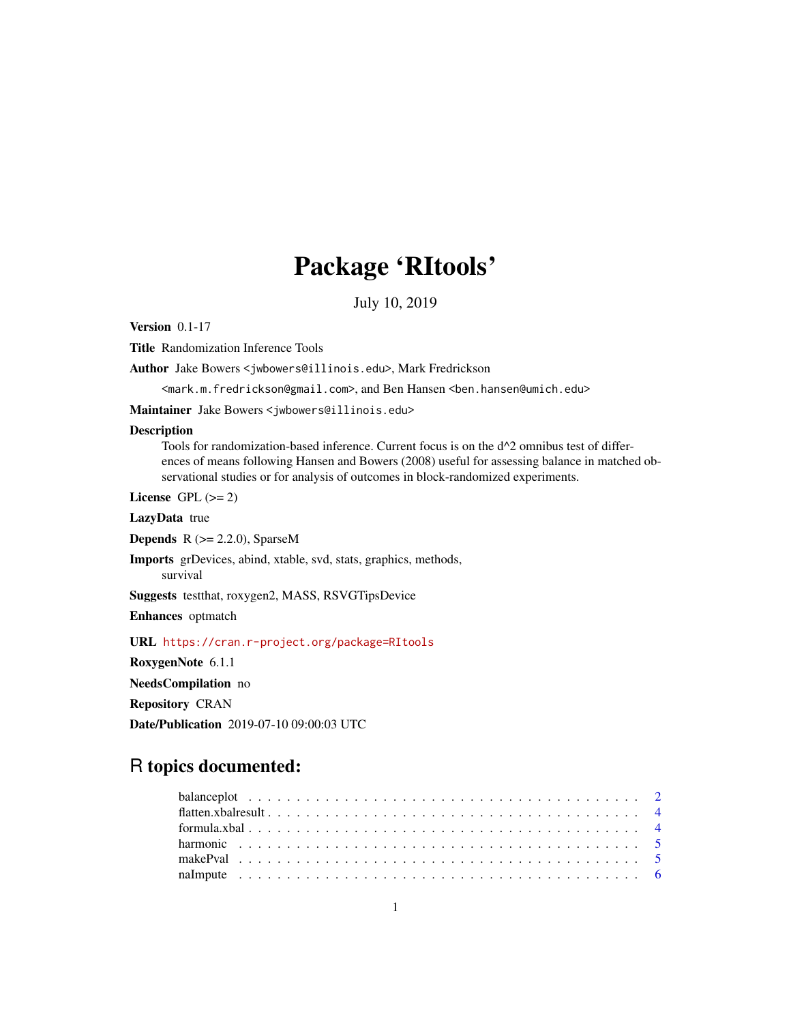# Package 'RItools'

July 10, 2019

<span id="page-0-0"></span>Version 0.1-17

Title Randomization Inference Tools

Author Jake Bowers <jwbowers@illinois.edu>, Mark Fredrickson

<mark.m.fredrickson@gmail.com>, and Ben Hansen <ben.hansen@umich.edu>

Maintainer Jake Bowers <jwbowers@illinois.edu>

#### Description

Tools for randomization-based inference. Current focus is on the  $d^2$  omnibus test of differences of means following Hansen and Bowers (2008) useful for assessing balance in matched observational studies or for analysis of outcomes in block-randomized experiments.

License GPL  $(>= 2)$ 

LazyData true

**Depends**  $R$  ( $>= 2.2.0$ ), SparseM

Imports grDevices, abind, xtable, svd, stats, graphics, methods, survival

Suggests testthat, roxygen2, MASS, RSVGTipsDevice

Enhances optmatch

URL <https://cran.r-project.org/package=RItools>

RoxygenNote 6.1.1

NeedsCompilation no

Repository CRAN

Date/Publication 2019-07-10 09:00:03 UTC

# R topics documented: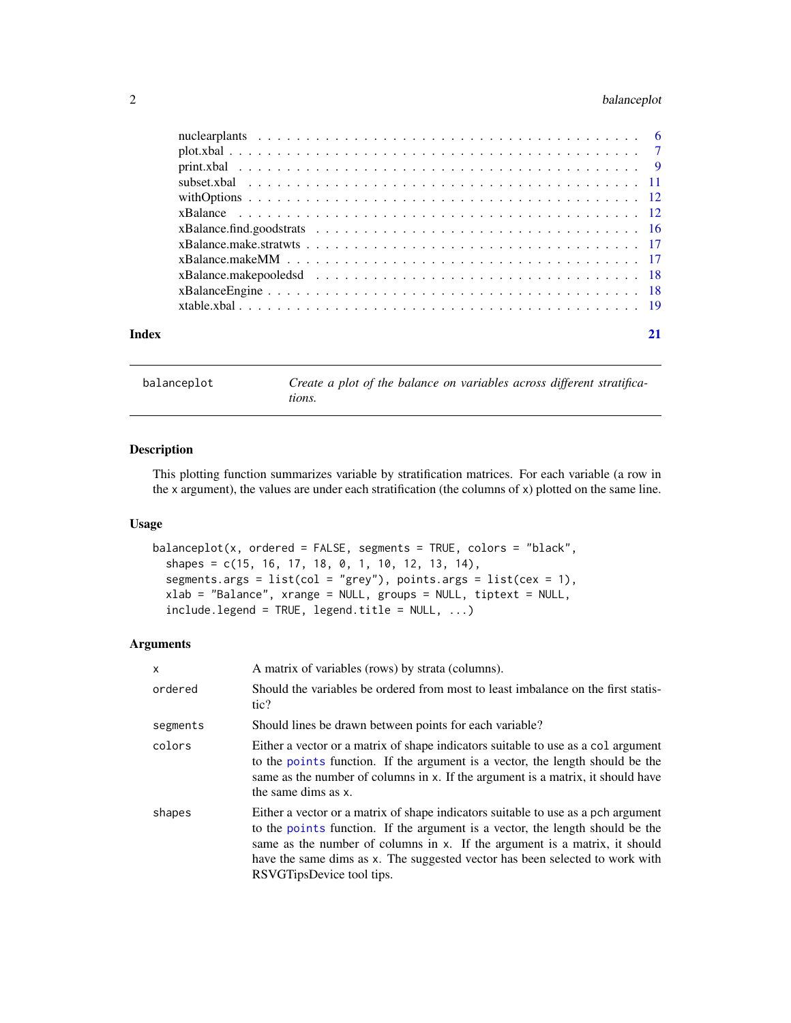# <span id="page-1-0"></span>2 balanceplot

| Index |  |
|-------|--|

<span id="page-1-1"></span>balanceplot *Create a plot of the balance on variables across different stratifications.*

# Description

This plotting function summarizes variable by stratification matrices. For each variable (a row in the x argument), the values are under each stratification (the columns of x) plotted on the same line.

#### Usage

```
balanceplot(x, ordered = FALSE, segments = TRUE, colors = "black",
  shapes = c(15, 16, 17, 18, 0, 1, 10, 12, 13, 14),
  segments.args = list(col = "grey"), points.args = list(cex = 1),xlab = "Balance", xrange = NULL, groups = NULL, tiptext = NULL,
  include. legend = TRUE, legend.title = NULL, ...)
```
#### Arguments

| $\mathsf{x}$                                                                                                                                                                                                                                                                                                                                                            | A matrix of variables (rows) by strata (columns).                                                                                                                                                                                                                            |  |
|-------------------------------------------------------------------------------------------------------------------------------------------------------------------------------------------------------------------------------------------------------------------------------------------------------------------------------------------------------------------------|------------------------------------------------------------------------------------------------------------------------------------------------------------------------------------------------------------------------------------------------------------------------------|--|
| Should the variables be ordered from most to least imbalance on the first statis-<br>ordered<br>tic?                                                                                                                                                                                                                                                                    |                                                                                                                                                                                                                                                                              |  |
| segments                                                                                                                                                                                                                                                                                                                                                                | Should lines be drawn between points for each variable?                                                                                                                                                                                                                      |  |
| colors                                                                                                                                                                                                                                                                                                                                                                  | Either a vector or a matrix of shape indicators suitable to use as a col argument<br>to the points function. If the argument is a vector, the length should be the<br>same as the number of columns in x. If the argument is a matrix, it should have<br>the same dims as x. |  |
| Either a vector or a matrix of shape indicators suitable to use as a pch argument<br>shapes<br>to the points function. If the argument is a vector, the length should be the<br>same as the number of columns in x. If the argument is a matrix, it should<br>have the same dims as x. The suggested vector has been selected to work with<br>RSVGTipsDevice tool tips. |                                                                                                                                                                                                                                                                              |  |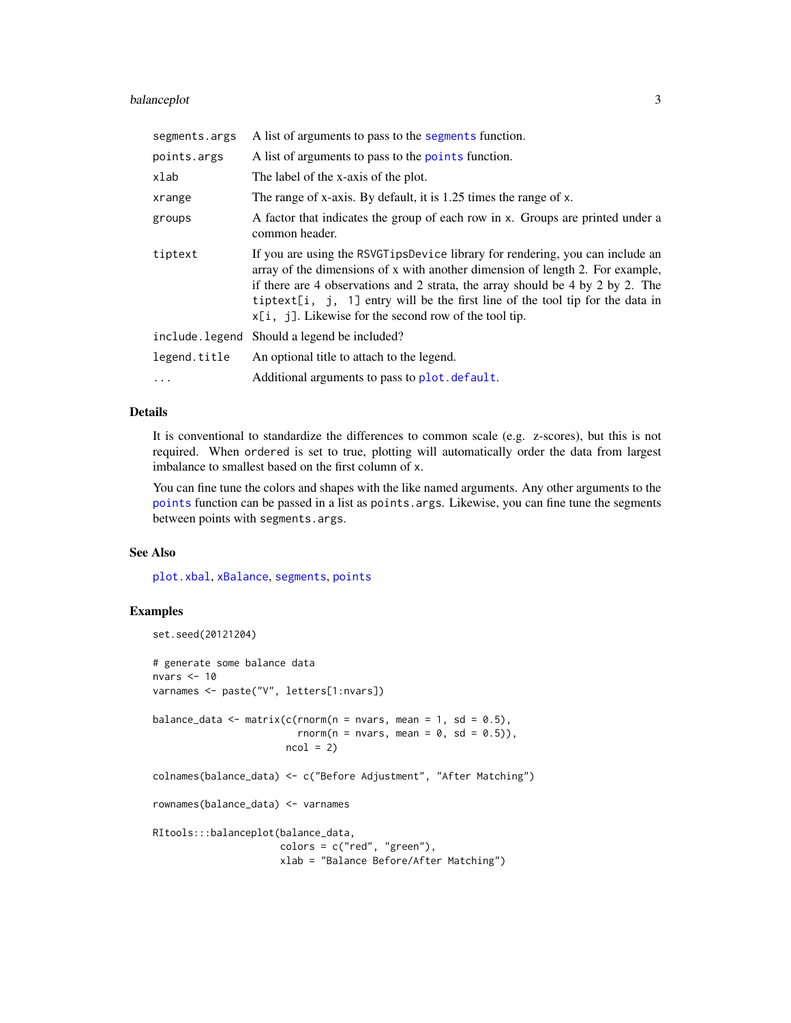# <span id="page-2-0"></span>balanceplot 3

| segments.args | A list of arguments to pass to the segments function.                                                                                                                                                                                                                                                                                                                                           |
|---------------|-------------------------------------------------------------------------------------------------------------------------------------------------------------------------------------------------------------------------------------------------------------------------------------------------------------------------------------------------------------------------------------------------|
| points.args   | A list of arguments to pass to the points function.                                                                                                                                                                                                                                                                                                                                             |
| xlab          | The label of the x-axis of the plot.                                                                                                                                                                                                                                                                                                                                                            |
| xrange        | The range of x-axis. By default, it is 1.25 times the range of x.                                                                                                                                                                                                                                                                                                                               |
| groups        | A factor that indicates the group of each row in x. Groups are printed under a<br>common header.                                                                                                                                                                                                                                                                                                |
| tiptext       | If you are using the RSVGT ips Device library for rendering, you can include an<br>array of the dimensions of x with another dimension of length 2. For example,<br>if there are 4 observations and 2 strata, the array should be 4 by 2 by 2. The<br>tiptext[i, j, 1] entry will be the first line of the tool tip for the data in<br>$x[i, j]$ . Likewise for the second row of the tool tip. |
|               | include.legend Should a legend be included?                                                                                                                                                                                                                                                                                                                                                     |
| legend.title  | An optional title to attach to the legend.                                                                                                                                                                                                                                                                                                                                                      |
| $\cdots$      | Additional arguments to pass to plot. default.                                                                                                                                                                                                                                                                                                                                                  |

# Details

It is conventional to standardize the differences to common scale (e.g. z-scores), but this is not required. When ordered is set to true, plotting will automatically order the data from largest imbalance to smallest based on the first column of x.

You can fine tune the colors and shapes with the like named arguments. Any other arguments to the [points](#page-0-0) function can be passed in a list as points.args. Likewise, you can fine tune the segments between points with segments.args.

# See Also

[plot.xbal](#page-6-1), [xBalance](#page-11-1), [segments](#page-0-0), [points](#page-0-0)

# Examples

```
set.seed(20121204)
# generate some balance data
nvars <- 10
varnames <- paste("V", letters[1:nvars])
balance_data <- matrix(c(rnorm(n = nvars, mean = 1, sd = 0.5),
                        rnorm(n = nvars, mean = 0, sd = 0.5)),
                       ncol = 2colnames(balance_data) <- c("Before Adjustment", "After Matching")
rownames(balance_data) <- varnames
RItools:::balanceplot(balance_data,
                      colors = c("red", "green"),
                      xlab = "Balance Before/After Matching")
```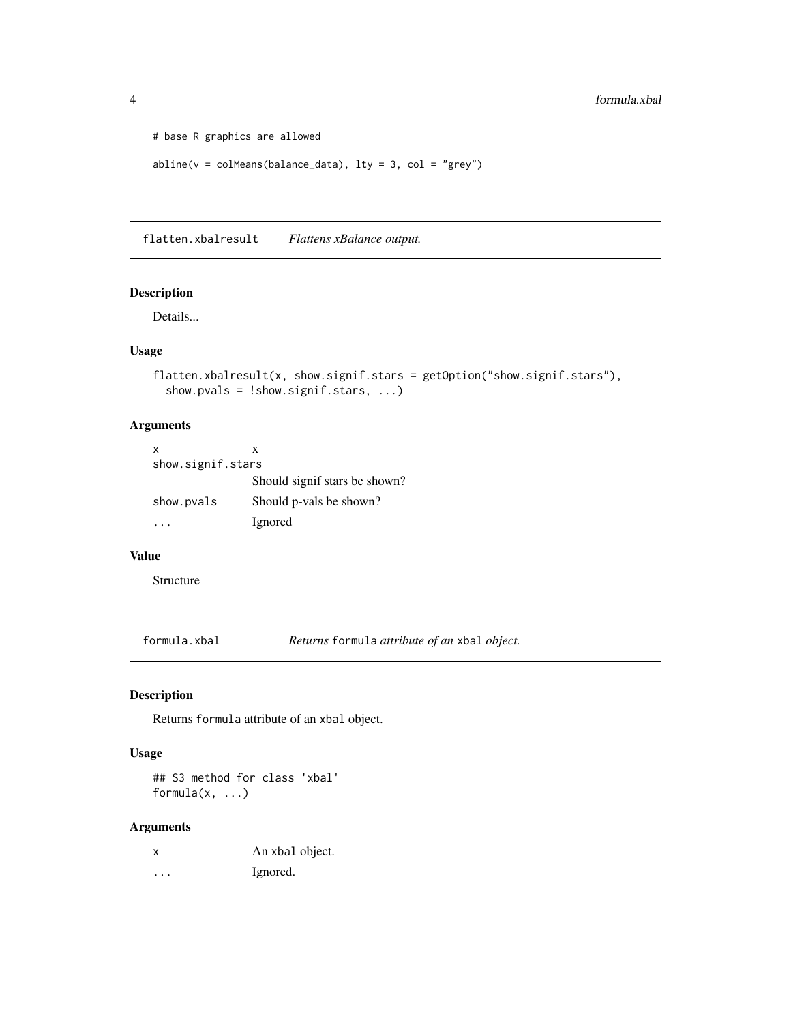```
# base R graphics are allowed
abline(v = colMeans(balance_data), lty = 3, col = "grey")
```
flatten.xbalresult *Flattens xBalance output.*

# Description

Details...

#### Usage

```
flatten.xbalresult(x, show.signif.stars = getOption("show.signif.stars"),
  show.pvals = !show.signif.stars, ...)
```
# Arguments

| x                 | x                             |
|-------------------|-------------------------------|
| show.signif.stars |                               |
|                   | Should signif stars be shown? |
| show.pvals        | Should p-vals be shown?       |
|                   | Ignored                       |

#### Value

Structure

formula.xbal *Returns* formula *attribute of an* xbal *object.*

# Description

Returns formula attribute of an xbal object.

# Usage

## S3 method for class 'xbal' formula(x, ...)

# Arguments

| x | An xbal object. |
|---|-----------------|
| . | Ignored.        |

<span id="page-3-0"></span>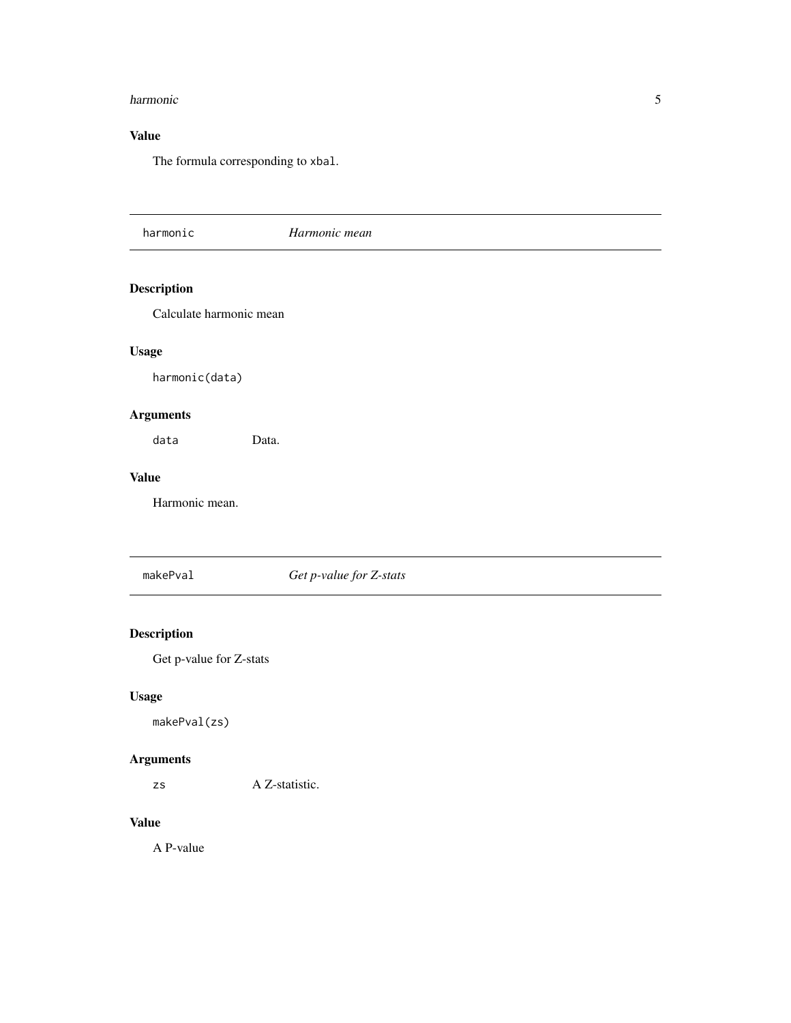#### <span id="page-4-0"></span>harmonic 5 and 5 and 5 and 5 and 5 and 5 and 5 and 5 and 5 and 5 and 5 and 5 and 5 and 5 and 5 and 5 and 5 and 5 and 5 and 5 and 5 and 5 and 5 and 5 and 5 and 5 and 5 and 5 and 5 and 5 and 5 and 5 and 5 and 5 and 5 and 5 a

# Value

The formula corresponding to xbal.

harmonic *Harmonic mean* Description Calculate harmonic mean Usage harmonic(data) Arguments data Data. Value Harmonic mean. makePval *Get p-value for Z-stats*

# Description

Get p-value for Z-stats

# Usage

makePval(zs)

# Arguments

zs A Z-statistic.

# Value

A P-value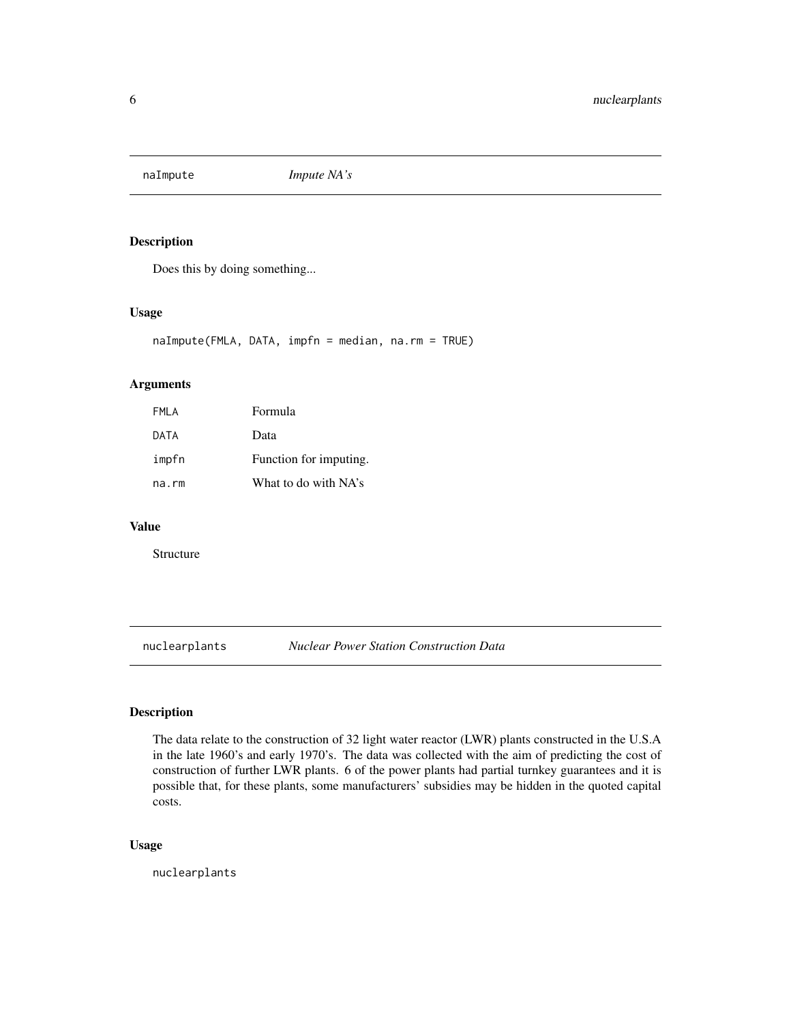<span id="page-5-0"></span>

# Description

Does this by doing something...

# Usage

naImpute(FMLA, DATA, impfn = median, na.rm = TRUE)

# Arguments

| FMLA  | Formula                |
|-------|------------------------|
| DATA  | Data                   |
| impfn | Function for imputing. |
| na.rm | What to do with NA's   |

# Value

Structure

nuclearplants *Nuclear Power Station Construction Data*

# Description

The data relate to the construction of 32 light water reactor (LWR) plants constructed in the U.S.A in the late 1960's and early 1970's. The data was collected with the aim of predicting the cost of construction of further LWR plants. 6 of the power plants had partial turnkey guarantees and it is possible that, for these plants, some manufacturers' subsidies may be hidden in the quoted capital costs.

# Usage

nuclearplants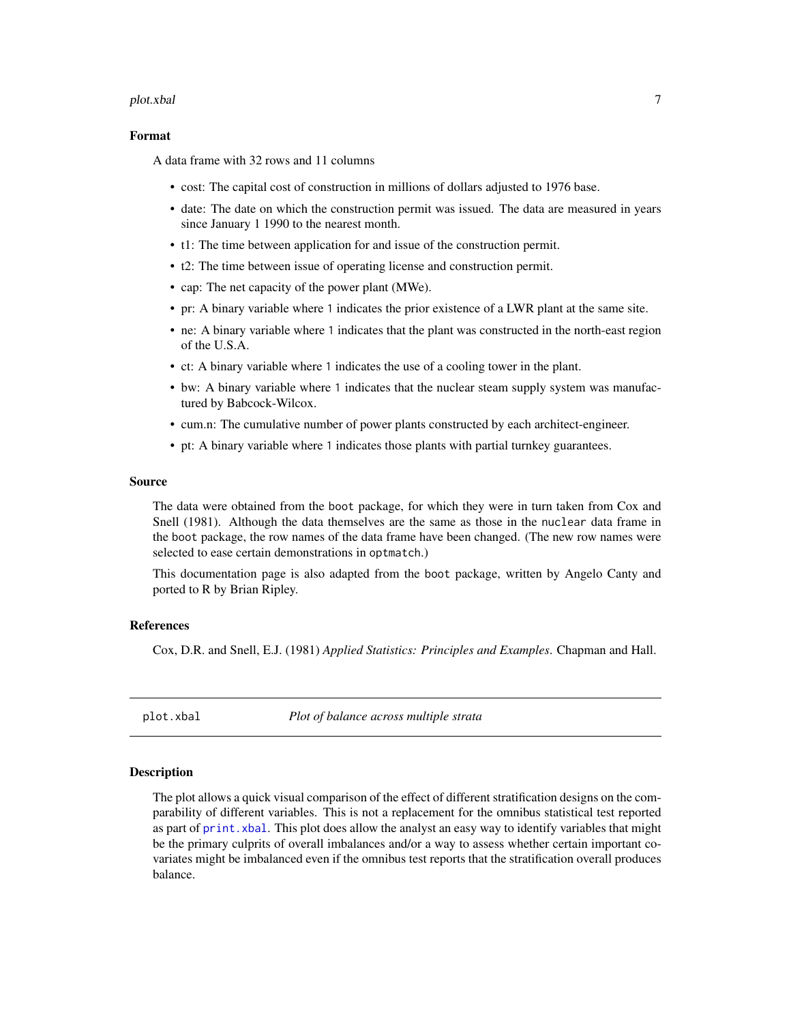#### <span id="page-6-0"></span>plot.xbal 7

#### Format

A data frame with 32 rows and 11 columns

- cost: The capital cost of construction in millions of dollars adjusted to 1976 base.
- date: The date on which the construction permit was issued. The data are measured in years since January 1 1990 to the nearest month.
- t1: The time between application for and issue of the construction permit.
- t2: The time between issue of operating license and construction permit.
- cap: The net capacity of the power plant (MWe).
- pr: A binary variable where 1 indicates the prior existence of a LWR plant at the same site.
- ne: A binary variable where 1 indicates that the plant was constructed in the north-east region of the U.S.A.
- ct: A binary variable where 1 indicates the use of a cooling tower in the plant.
- bw: A binary variable where 1 indicates that the nuclear steam supply system was manufactured by Babcock-Wilcox.
- cum.n: The cumulative number of power plants constructed by each architect-engineer.
- pt: A binary variable where 1 indicates those plants with partial turnkey guarantees.

#### Source

The data were obtained from the boot package, for which they were in turn taken from Cox and Snell (1981). Although the data themselves are the same as those in the nuclear data frame in the boot package, the row names of the data frame have been changed. (The new row names were selected to ease certain demonstrations in optmatch.)

This documentation page is also adapted from the boot package, written by Angelo Canty and ported to R by Brian Ripley.

# References

Cox, D.R. and Snell, E.J. (1981) *Applied Statistics: Principles and Examples*. Chapman and Hall.

<span id="page-6-1"></span>plot.xbal *Plot of balance across multiple strata*

#### Description

The plot allows a quick visual comparison of the effect of different stratification designs on the comparability of different variables. This is not a replacement for the omnibus statistical test reported as part of print. xbal. This plot does allow the analyst an easy way to identify variables that might be the primary culprits of overall imbalances and/or a way to assess whether certain important covariates might be imbalanced even if the omnibus test reports that the stratification overall produces balance.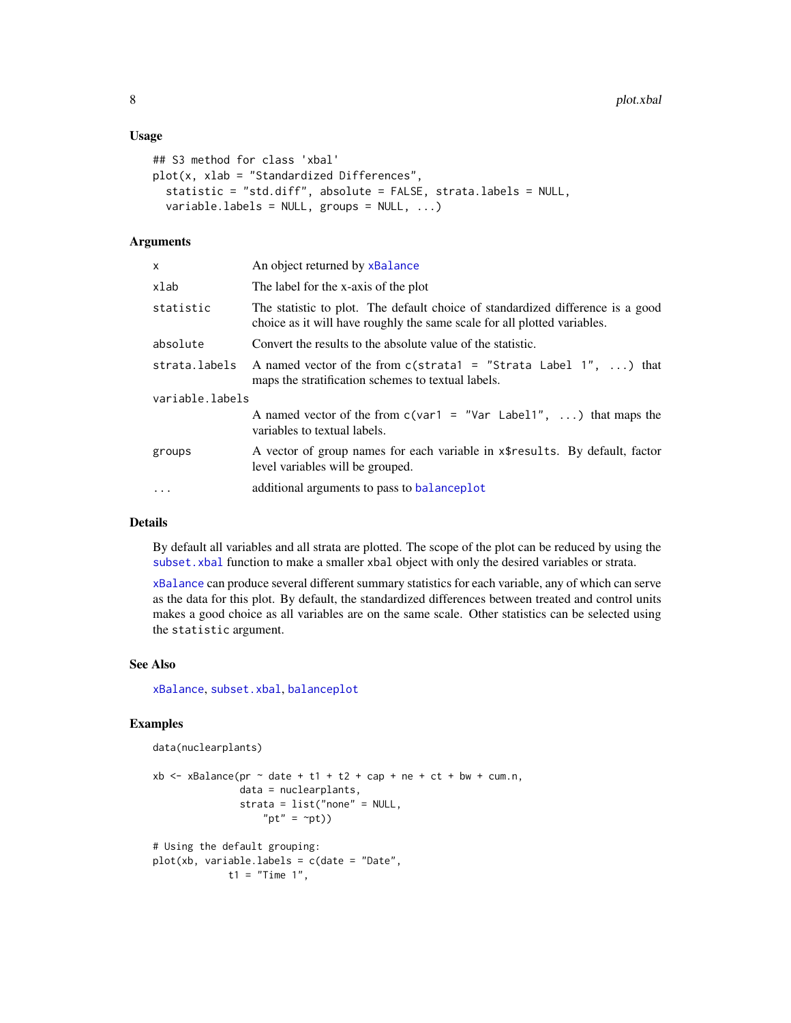#### <span id="page-7-0"></span>Usage

```
## S3 method for class 'xbal'
plot(x, xlab = "Standardized Differences",
  statistic = "std.diff", absolute = FALSE, strata.labels = NULL,
  variable.labels = NULL, groups = NULL, ...)
```
# Arguments

| X.                                                                                                                                                                      | An object returned by xBalance                                                                                           |  |
|-------------------------------------------------------------------------------------------------------------------------------------------------------------------------|--------------------------------------------------------------------------------------------------------------------------|--|
| xlab                                                                                                                                                                    | The label for the x-axis of the plot                                                                                     |  |
| The statistic to plot. The default choice of standardized difference is a good<br>statistic<br>choice as it will have roughly the same scale for all plotted variables. |                                                                                                                          |  |
| absolute                                                                                                                                                                | Convert the results to the absolute value of the statistic.                                                              |  |
| strata.labels                                                                                                                                                           | A named vector of the from $c$ (strata1 = "Strata Label 1", ) that<br>maps the stratification schemes to textual labels. |  |
| variable.labels                                                                                                                                                         |                                                                                                                          |  |
|                                                                                                                                                                         | A named vector of the from $c(\text{var1} = \text{"Var Label1", })$ that maps the<br>variables to textual labels.        |  |
| groups                                                                                                                                                                  | A vector of group names for each variable in x\\$results. By default, factor<br>level variables will be grouped.         |  |
| $\ddots$                                                                                                                                                                | additional arguments to pass to balanceplot                                                                              |  |
|                                                                                                                                                                         |                                                                                                                          |  |

# Details

By default all variables and all strata are plotted. The scope of the plot can be reduced by using the subset. xbal function to make a smaller xbal object with only the desired variables or strata.

[xBalance](#page-11-1) can produce several different summary statistics for each variable, any of which can serve as the data for this plot. By default, the standardized differences between treated and control units makes a good choice as all variables are on the same scale. Other statistics can be selected using the statistic argument.

#### See Also

[xBalance](#page-11-1), [subset.xbal](#page-10-1), [balanceplot](#page-1-1)

#### Examples

```
data(nuclearplants)
```

```
xb <- xBalance(pr \sim date + t1 + t2 + cap + ne + ct + bw + cum.n,
               data = nuclearplants,
               strata = list("none" = NULL,
                   "pt" = \simpt))
# Using the default grouping:
```

```
plot(xb, variable.labels = c(date = "Date",
            t1 = "Time 1",
```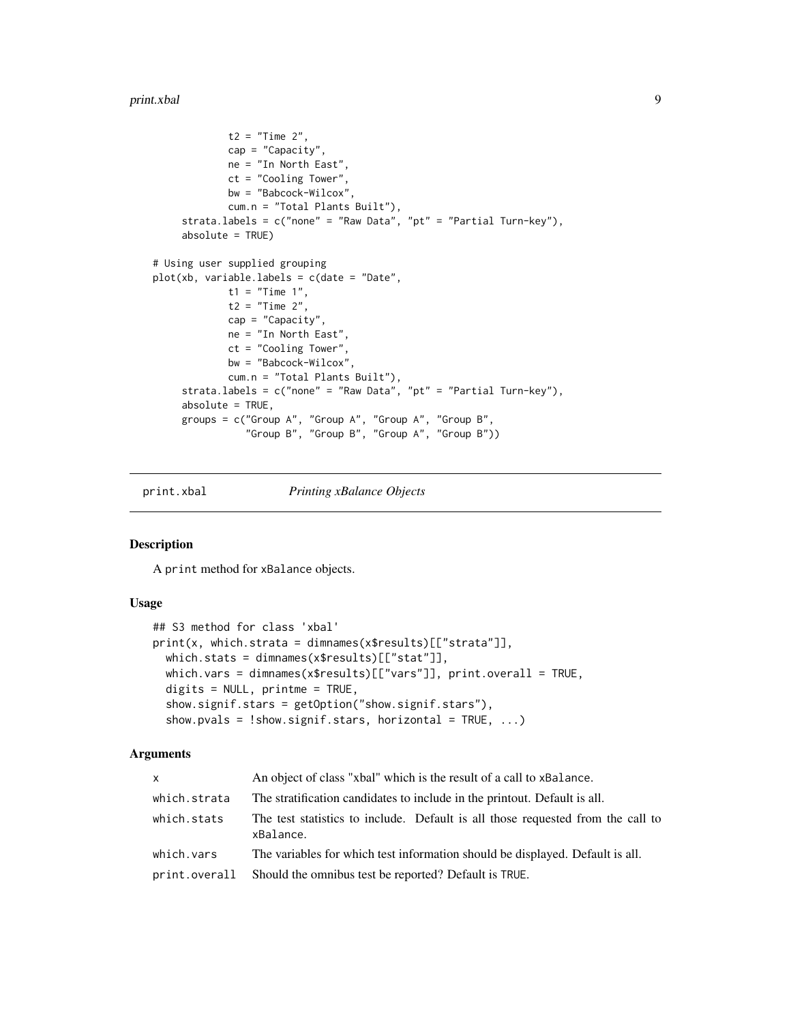```
t2 = "Time 2",cap = "Capacity",
             ne = "In North East",
             ct = "Cooling Tower",
             bw = "Babcock-Wilcox",
             cum.n = "Total Plants Built"),
     strata.labels = c("none" = "Raw Data", "pt" = "Partial Turn-key"),
     absolute = TRUE)
# Using user supplied grouping
plot(xb, variable.labels = c(date = "Date",
             t1 = "Time 1",
             t2 = "Time 2",cap = "Capacity",
            ne = "In North East",
            ct = "Cooling Tower",
            bw = "Babcock-Wilcox",
             cum.n = "Total Plants Built"),
     strata.labels = c("none" = "Raw Data", "pt" = "Partial Turn-key"),
     absolute = TRUE,
     groups = c("Group A", "Group A", "Group A", "Group B",
                "Group B", "Group B", "Group A", "Group B"))
```
<span id="page-8-1"></span>

print.xbal *Printing xBalance Objects*

#### Description

A print method for xBalance objects.

#### Usage

```
## S3 method for class 'xbal'
print(x, which.strata = dimnames(x$results)[["strata"]],
 which.stats = dimnames(x$results)[["stat"]],
 which.vars = dimnames(x$results)[["vars"]], print.overall = TRUE,
 digits = NULL, printme = TRUE,
  show.signif.stars = getOption("show.signif.stars"),
  show.pvals = !show.signif.stars, horizontal = TRUE, ...)
```
#### Arguments

| <b>X</b>     | An object of class "xbal" which is the result of a call to xBalance.                         |  |
|--------------|----------------------------------------------------------------------------------------------|--|
| which.strata | The stratification candidates to include in the printout. Default is all.                    |  |
| which.stats  | The test statistics to include. Default is all those requested from the call to<br>xBalance. |  |
| which.vars   | The variables for which test information should be displayed. Default is all.                |  |
|              | print.overall Should the omnibus test be reported? Default is TRUE.                          |  |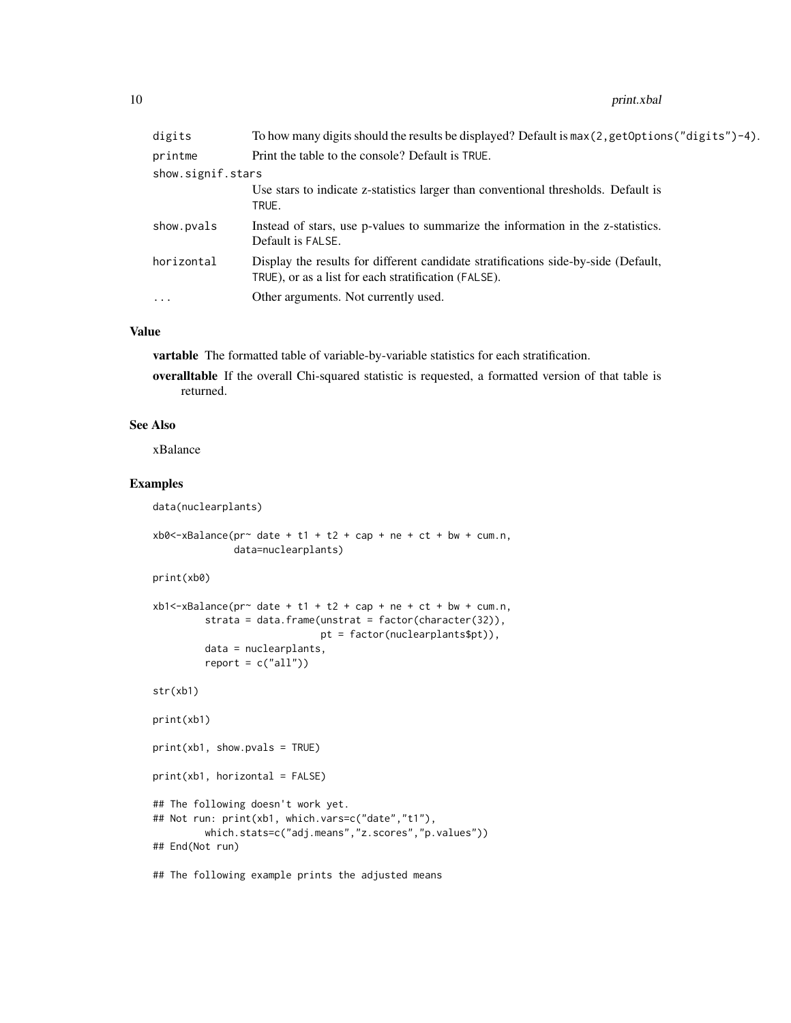#### 10 print.xball print.xball print.xball print.xball print.xball print.xball print.xball print.xball print.xball print.xball print.xball print.xball print.xball print.xball print.xball print.xball print.xball print.xball pri

| digits            | To how many digits should the results be displayed? Default is $max(2, getOptions("digits") - 4)$ .                                        |
|-------------------|--------------------------------------------------------------------------------------------------------------------------------------------|
| printme           | Print the table to the console? Default is TRUE.                                                                                           |
| show.signif.stars |                                                                                                                                            |
|                   | Use stars to indicate z-statistics larger than conventional thresholds. Default is<br>TRUE.                                                |
| show.pvals        | Instead of stars, use p-values to summarize the information in the z-statistics.<br>Default is FALSE.                                      |
| horizontal        | Display the results for different candidate stratifications side-by-side (Default,<br>TRUE), or as a list for each stratification (FALSE). |
| $\ddots$ .        | Other arguments. Not currently used.                                                                                                       |
|                   |                                                                                                                                            |

#### Value

vartable The formatted table of variable-by-variable statistics for each stratification.

overalltable If the overall Chi-squared statistic is requested, a formatted version of that table is returned.

# See Also

xBalance

# Examples

```
data(nuclearplants)
xb0 <-xBalance(pr~ date + t1 + t2 + cap + ne + ct + bw + cum.n,
              data=nuclearplants)
print(xb0)
xb1 < -xBalance(pr~ date + t1 + t2 + cap + ne + ct + bw + cum.n,
         strata = data.frame(unstrat = factor(character(32)),
                             pt = factor(nuclearplants$pt)),
        data = nuclearplants,
        report = c("all"))str(xb1)
print(xb1)
print(xb1, show.pvals = TRUE)
print(xb1, horizontal = FALSE)
## The following doesn't work yet.
## Not run: print(xb1, which.vars=c("date","t1"),
        which.stats=c("adj.means","z.scores","p.values"))
## End(Not run)
```
## The following example prints the adjusted means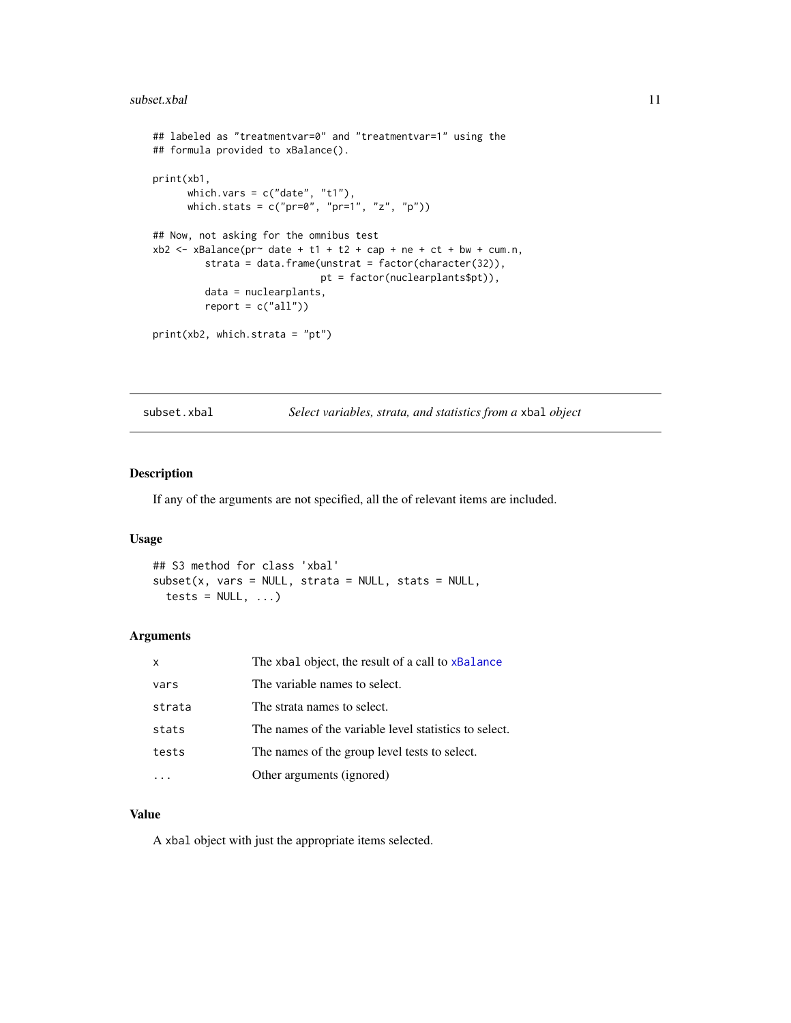#### <span id="page-10-0"></span>subset.xbal 11

```
## labeled as "treatmentvar=0" and "treatmentvar=1" using the
## formula provided to xBalance().
print(xb1,
      which.vars = c("date", "t1"),
      which.stats = c("pr=0", "pr=1", "z", "p")## Now, not asking for the omnibus test
xb2 < - xBalance(pr<sup>2</sup> date + t1 + t2 + cap + ne + ct + bw + cum.n,strata = data.frame(unstrat = factor(character(32)),
                             pt = factor(nuclearplants$pt)),
        data = nuclearplants,
        report = c("all"))print(xb2, which.strata = "pt")
```
<span id="page-10-1"></span>subset.xbal *Select variables, strata, and statistics from a* xbal *object*

#### Description

If any of the arguments are not specified, all the of relevant items are included.

# Usage

```
## S3 method for class 'xbal'
subset(x, vars = NULL, strata = NULL, stats = NULL,tests = NULL, \ldots)
```
#### Arguments

| $\mathsf{x}$                          | The xbal object, the result of a call to xBalance     |  |
|---------------------------------------|-------------------------------------------------------|--|
| The variable names to select.<br>vars |                                                       |  |
| strata                                | The strata names to select.                           |  |
| stats                                 | The names of the variable level statistics to select. |  |
| tests                                 | The names of the group level tests to select.         |  |
| Other arguments (ignored)             |                                                       |  |

#### Value

A xbal object with just the appropriate items selected.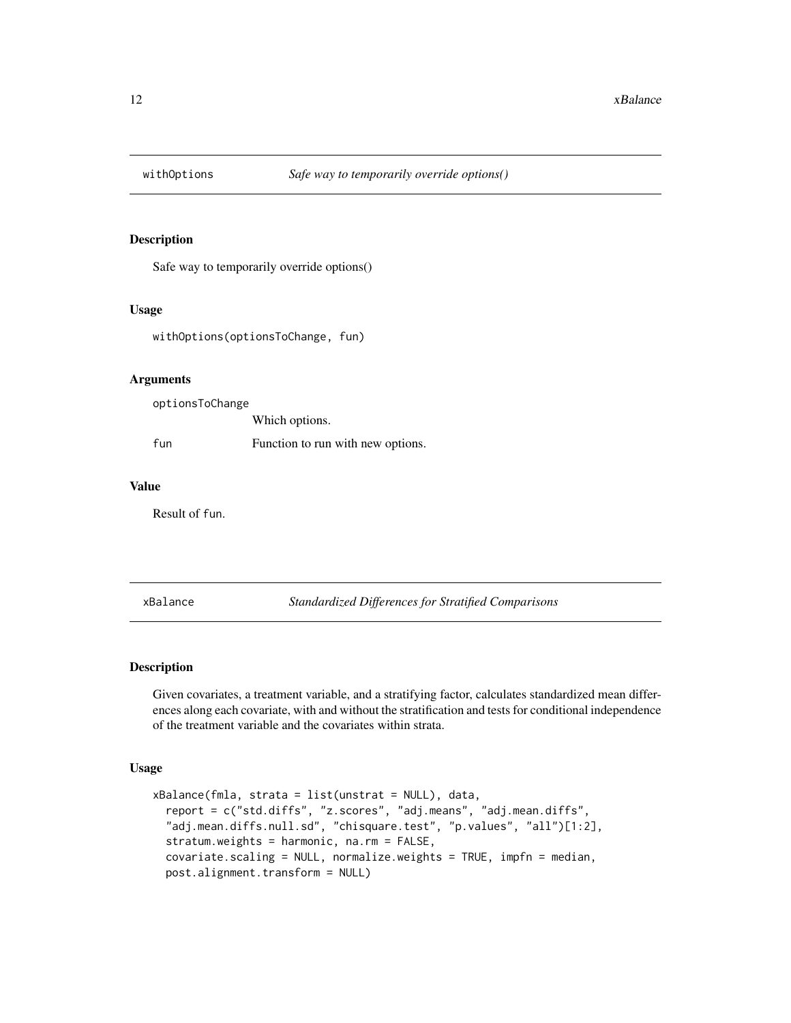<span id="page-11-0"></span>

#### Description

Safe way to temporarily override options()

#### Usage

withOptions(optionsToChange, fun)

#### Arguments

optionsToChange Which options. fun Function to run with new options.

#### Value

Result of fun.

<span id="page-11-1"></span>xBalance *Standardized Differences for Stratified Comparisons*

# Description

Given covariates, a treatment variable, and a stratifying factor, calculates standardized mean differences along each covariate, with and without the stratification and tests for conditional independence of the treatment variable and the covariates within strata.

# Usage

```
xBalance(fmla, strata = list(unstrat = NULL), data,
 report = c("std.diffs", "z.scores", "adj.means", "adj.mean.diffs",
  "adj.mean.diffs.null.sd", "chisquare.test", "p.values", "all")[1:2],
  stratum.weights = harmonic, na.rm = FALSE,
  covariate.scaling = NULL, normalize.weights = TRUE, impfn = median,
  post.alignment.transform = NULL)
```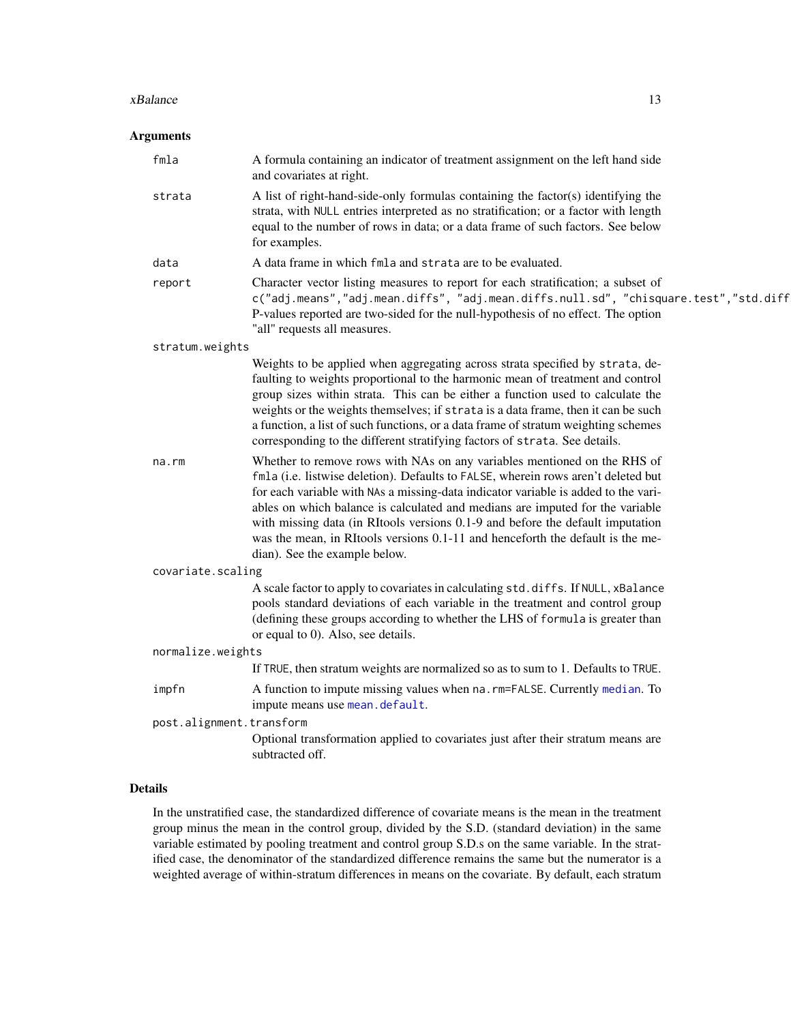#### <span id="page-12-0"></span>xBalance 13

# Arguments

| fmla                     | A formula containing an indicator of treatment assignment on the left hand side<br>and covariates at right.                                                                                                                                                                                                                                                                                                                                                                                                                               |
|--------------------------|-------------------------------------------------------------------------------------------------------------------------------------------------------------------------------------------------------------------------------------------------------------------------------------------------------------------------------------------------------------------------------------------------------------------------------------------------------------------------------------------------------------------------------------------|
| strata                   | A list of right-hand-side-only formulas containing the factor(s) identifying the<br>strata, with NULL entries interpreted as no stratification; or a factor with length<br>equal to the number of rows in data; or a data frame of such factors. See below<br>for examples.                                                                                                                                                                                                                                                               |
| data                     | A data frame in which fmla and strata are to be evaluated.                                                                                                                                                                                                                                                                                                                                                                                                                                                                                |
| report                   | Character vector listing measures to report for each stratification; a subset of<br>c("adj.means","adj.mean.diffs", "adj.mean.diffs.null.sd", "chisquare.test","std.diff<br>P-values reported are two-sided for the null-hypothesis of no effect. The option<br>"all" requests all measures.                                                                                                                                                                                                                                              |
| stratum.weights          |                                                                                                                                                                                                                                                                                                                                                                                                                                                                                                                                           |
|                          | Weights to be applied when aggregating across strata specified by strata, de-<br>faulting to weights proportional to the harmonic mean of treatment and control<br>group sizes within strata. This can be either a function used to calculate the<br>weights or the weights themselves; if strata is a data frame, then it can be such<br>a function, a list of such functions, or a data frame of stratum weighting schemes<br>corresponding to the different stratifying factors of strata. See details.                                |
| $na$ . $rm$              | Whether to remove rows with NAs on any variables mentioned on the RHS of<br>fmla (i.e. listwise deletion). Defaults to FALSE, wherein rows aren't deleted but<br>for each variable with NAs a missing-data indicator variable is added to the vari-<br>ables on which balance is calculated and medians are imputed for the variable<br>with missing data (in RItools versions 0.1-9 and before the default imputation<br>was the mean, in RItools versions 0.1-11 and henceforth the default is the me-<br>dian). See the example below. |
| covariate.scaling        |                                                                                                                                                                                                                                                                                                                                                                                                                                                                                                                                           |
|                          | A scale factor to apply to covariates in calculating std.diffs. If NULL, xBalance<br>pools standard deviations of each variable in the treatment and control group<br>(defining these groups according to whether the LHS of formula is greater than<br>or equal to 0). Also, see details.                                                                                                                                                                                                                                                |
| normalize.weights        |                                                                                                                                                                                                                                                                                                                                                                                                                                                                                                                                           |
|                          | If TRUE, then stratum weights are normalized so as to sum to 1. Defaults to TRUE.                                                                                                                                                                                                                                                                                                                                                                                                                                                         |
| impfn                    | A function to impute missing values when na. rm=FALSE. Currently median. To<br>impute means use mean.default.                                                                                                                                                                                                                                                                                                                                                                                                                             |
| post.alignment.transform |                                                                                                                                                                                                                                                                                                                                                                                                                                                                                                                                           |
|                          | Optional transformation applied to covariates just after their stratum means are<br>subtracted off.                                                                                                                                                                                                                                                                                                                                                                                                                                       |
|                          |                                                                                                                                                                                                                                                                                                                                                                                                                                                                                                                                           |

# Details

In the unstratified case, the standardized difference of covariate means is the mean in the treatment group minus the mean in the control group, divided by the S.D. (standard deviation) in the same variable estimated by pooling treatment and control group S.D.s on the same variable. In the stratified case, the denominator of the standardized difference remains the same but the numerator is a weighted average of within-stratum differences in means on the covariate. By default, each stratum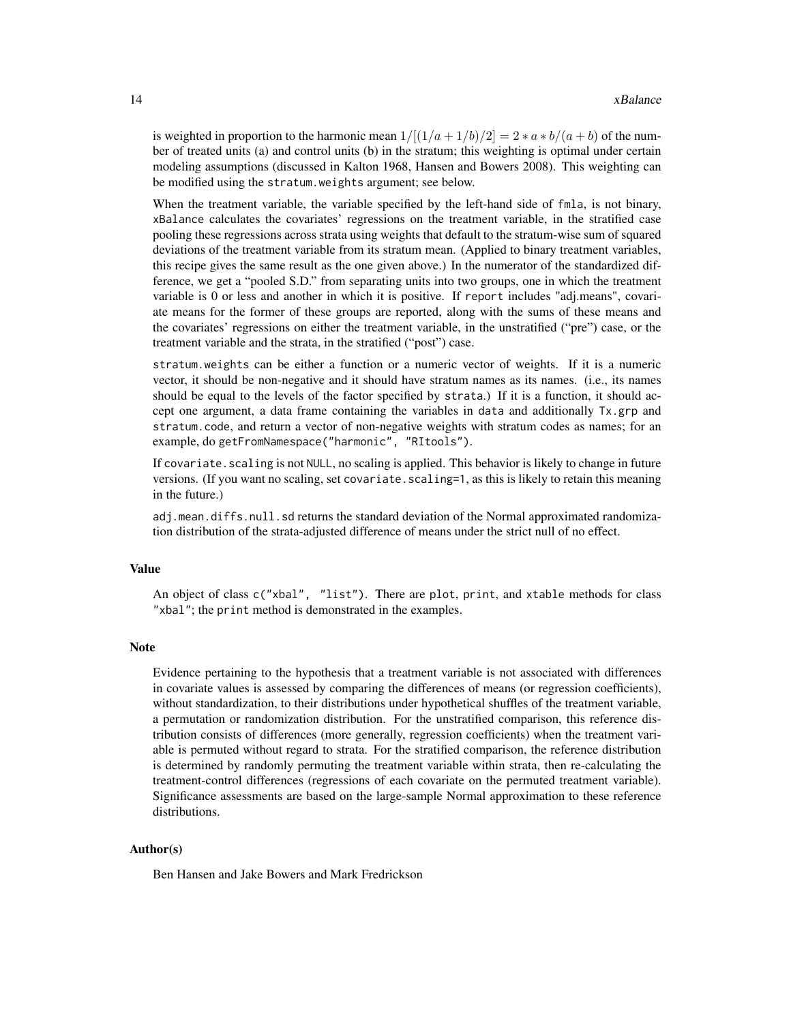is weighted in proportion to the harmonic mean  $1/[(1/a+1/b)/2] = 2*a*b/(a+b)$  of the number of treated units (a) and control units (b) in the stratum; this weighting is optimal under certain modeling assumptions (discussed in Kalton 1968, Hansen and Bowers 2008). This weighting can be modified using the stratum.weights argument; see below.

When the treatment variable, the variable specified by the left-hand side of fmla, is not binary, xBalance calculates the covariates' regressions on the treatment variable, in the stratified case pooling these regressions across strata using weights that default to the stratum-wise sum of squared deviations of the treatment variable from its stratum mean. (Applied to binary treatment variables, this recipe gives the same result as the one given above.) In the numerator of the standardized difference, we get a "pooled S.D." from separating units into two groups, one in which the treatment variable is 0 or less and another in which it is positive. If report includes "adj.means", covariate means for the former of these groups are reported, along with the sums of these means and the covariates' regressions on either the treatment variable, in the unstratified ("pre") case, or the treatment variable and the strata, in the stratified ("post") case.

stratum.weights can be either a function or a numeric vector of weights. If it is a numeric vector, it should be non-negative and it should have stratum names as its names. (i.e., its names should be equal to the levels of the factor specified by strata.) If it is a function, it should accept one argument, a data frame containing the variables in data and additionally Tx.grp and stratum.code, and return a vector of non-negative weights with stratum codes as names; for an example, do getFromNamespace("harmonic", "RItools").

If covariate. scaling is not NULL, no scaling is applied. This behavior is likely to change in future versions. (If you want no scaling, set covariate. scaling=1, as this is likely to retain this meaning in the future.)

adj.mean.diffs.null.sd returns the standard deviation of the Normal approximated randomization distribution of the strata-adjusted difference of means under the strict null of no effect.

#### Value

An object of class c("xbal", "list"). There are plot, print, and xtable methods for class "xbal"; the print method is demonstrated in the examples.

#### Note

Evidence pertaining to the hypothesis that a treatment variable is not associated with differences in covariate values is assessed by comparing the differences of means (or regression coefficients), without standardization, to their distributions under hypothetical shuffles of the treatment variable, a permutation or randomization distribution. For the unstratified comparison, this reference distribution consists of differences (more generally, regression coefficients) when the treatment variable is permuted without regard to strata. For the stratified comparison, the reference distribution is determined by randomly permuting the treatment variable within strata, then re-calculating the treatment-control differences (regressions of each covariate on the permuted treatment variable). Significance assessments are based on the large-sample Normal approximation to these reference distributions.

#### Author(s)

Ben Hansen and Jake Bowers and Mark Fredrickson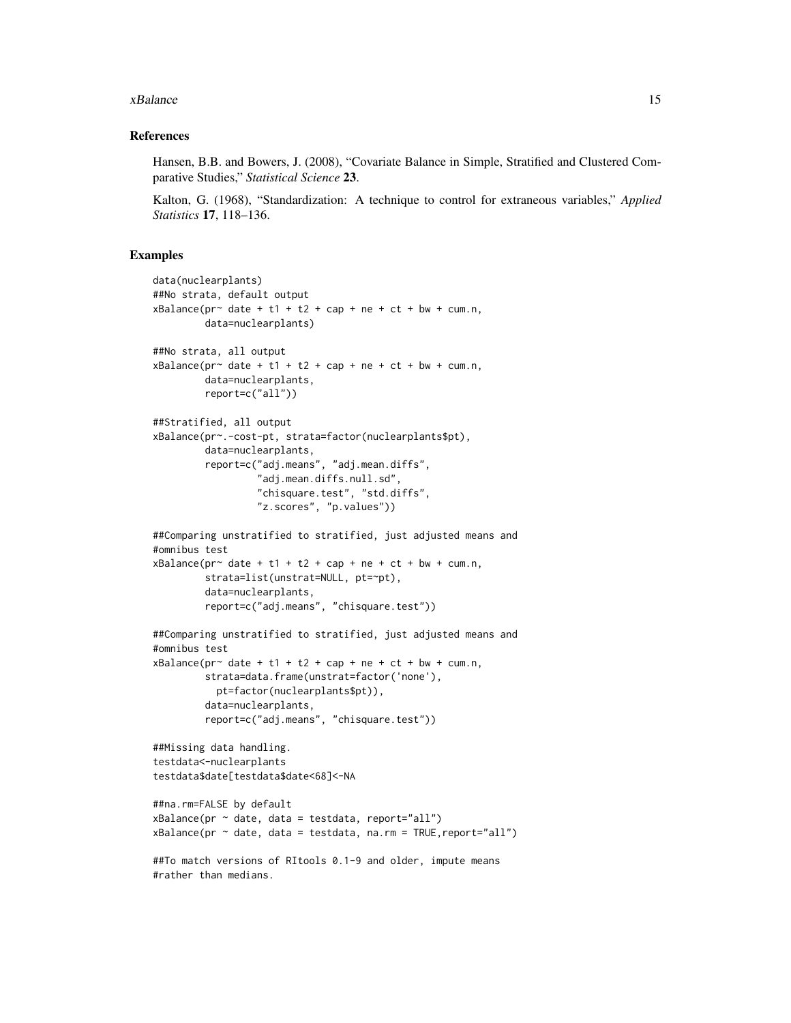#### xBalance 15

#### References

Hansen, B.B. and Bowers, J. (2008), "Covariate Balance in Simple, Stratified and Clustered Comparative Studies," *Statistical Science* 23.

Kalton, G. (1968), "Standardization: A technique to control for extraneous variables," *Applied Statistics* 17, 118–136.

#### Examples

#rather than medians.

```
data(nuclearplants)
##No strata, default output
xBalance(pr~ date + t1 + t2 + cap + ne + ct + bw + cum.n,
         data=nuclearplants)
##No strata, all output
xBalance(pr~ date + t1 + t2 + cap + ne + ct + bw + cum.n,
        data=nuclearplants,
        report=c("all"))
##Stratified, all output
xBalance(pr~.-cost-pt, strata=factor(nuclearplants$pt),
         data=nuclearplants,
         report=c("adj.means", "adj.mean.diffs",
                  "adj.mean.diffs.null.sd",
                  "chisquare.test", "std.diffs",
                  "z.scores", "p.values"))
##Comparing unstratified to stratified, just adjusted means and
#omnibus test
xBalance(pr^{\sim} date + t1 + t2 + cap + ne + ct + bw + cum.n,strata=list(unstrat=NULL, pt=~pt),
         data=nuclearplants,
        report=c("adj.means", "chisquare.test"))
##Comparing unstratified to stratified, just adjusted means and
#omnibus test
xBalance(pr^{\sim} date + t1 + t2 + cap + ne + ct + bw + cum.n,strata=data.frame(unstrat=factor('none'),
           pt=factor(nuclearplants$pt)),
         data=nuclearplants,
         report=c("adj.means", "chisquare.test"))
##Missing data handling.
testdata<-nuclearplants
testdata$date[testdata$date<68]<-NA
##na.rm=FALSE by default
xBalance(pr \sim date, data = testdata, report='all")xBalance(pr ~ date, data = testdata, na.rm = TRUE,report="all")
##To match versions of RItools 0.1-9 and older, impute means
```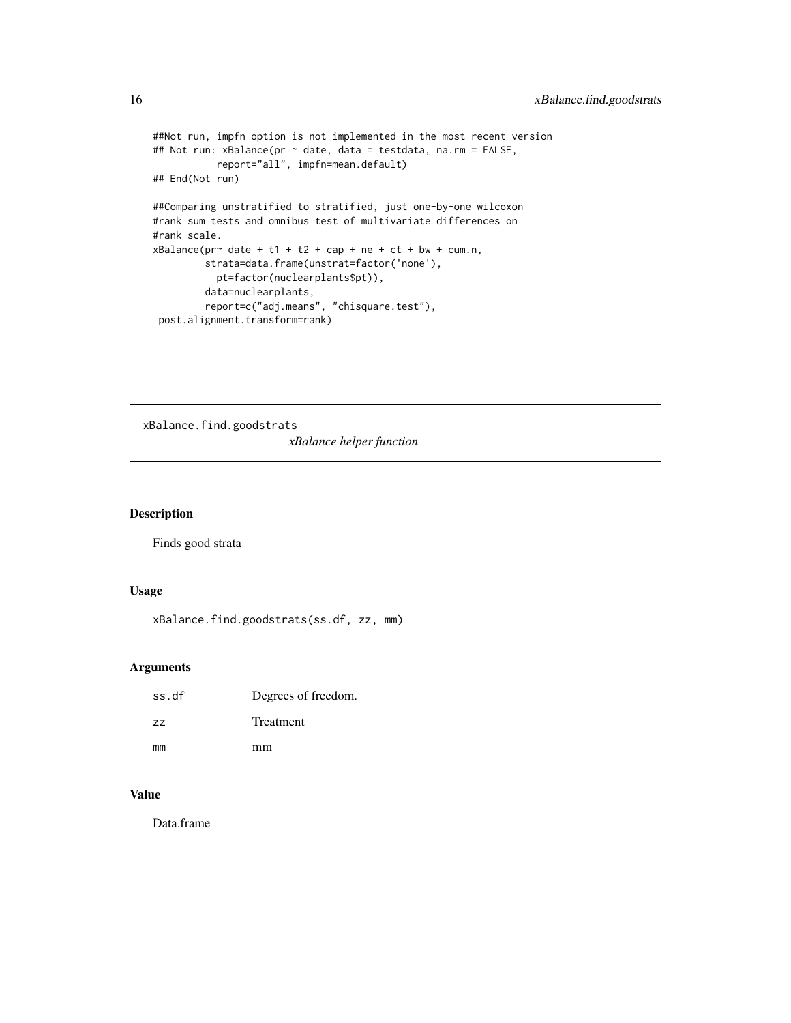```
##Not run, impfn option is not implemented in the most recent version
## Not run: xBalance(pr ~ date, data = testdata, na.rm = FALSE,
          report="all", impfn=mean.default)
## End(Not run)
##Comparing unstratified to stratified, just one-by-one wilcoxon
#rank sum tests and omnibus test of multivariate differences on
#rank scale.
xBalance(pr~ date + t1 + t2 + cap + ne + ct + bw + cum.n,
        strata=data.frame(unstrat=factor('none'),
          pt=factor(nuclearplants$pt)),
        data=nuclearplants,
        report=c("adj.means", "chisquare.test"),
post.alignment.transform=rank)
```
xBalance.find.goodstrats *xBalance helper function*

#### Description

Finds good strata

# Usage

xBalance.find.goodstrats(ss.df, zz, mm)

#### Arguments

| ss.df | Degrees of freedom. |
|-------|---------------------|
| 77    | <b>Treatment</b>    |
| mm    | mm                  |

# Value

Data.frame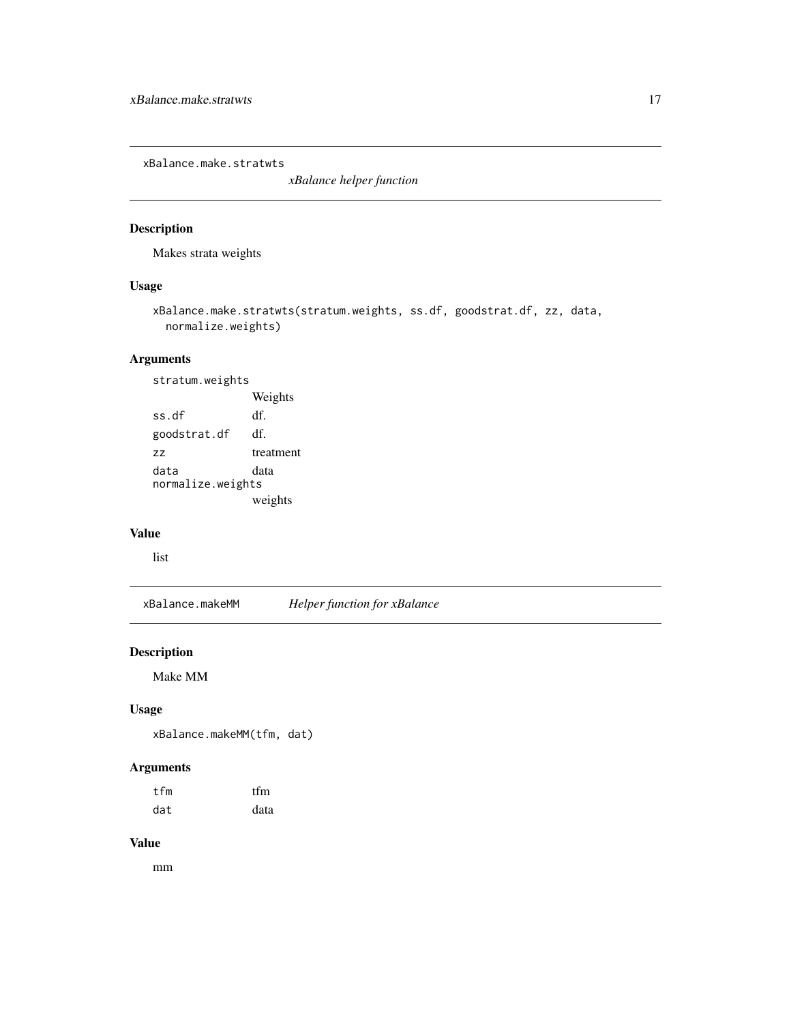<span id="page-16-0"></span>xBalance.make.stratwts

*xBalance helper function*

# Description

Makes strata weights

# Usage

```
xBalance.make.stratwts(stratum.weights, ss.df, goodstrat.df, zz, data,
 normalize.weights)
```
# Arguments

stratum.weights Weights ss.df df. goodstrat.df df. zz treatment data data normalize.weights weights

# Value

list

xBalance.makeMM *Helper function for xBalance*

# Description

Make MM

# Usage

xBalance.makeMM(tfm, dat)

# Arguments

| tfm | tfm  |
|-----|------|
| dat | data |

# Value

mm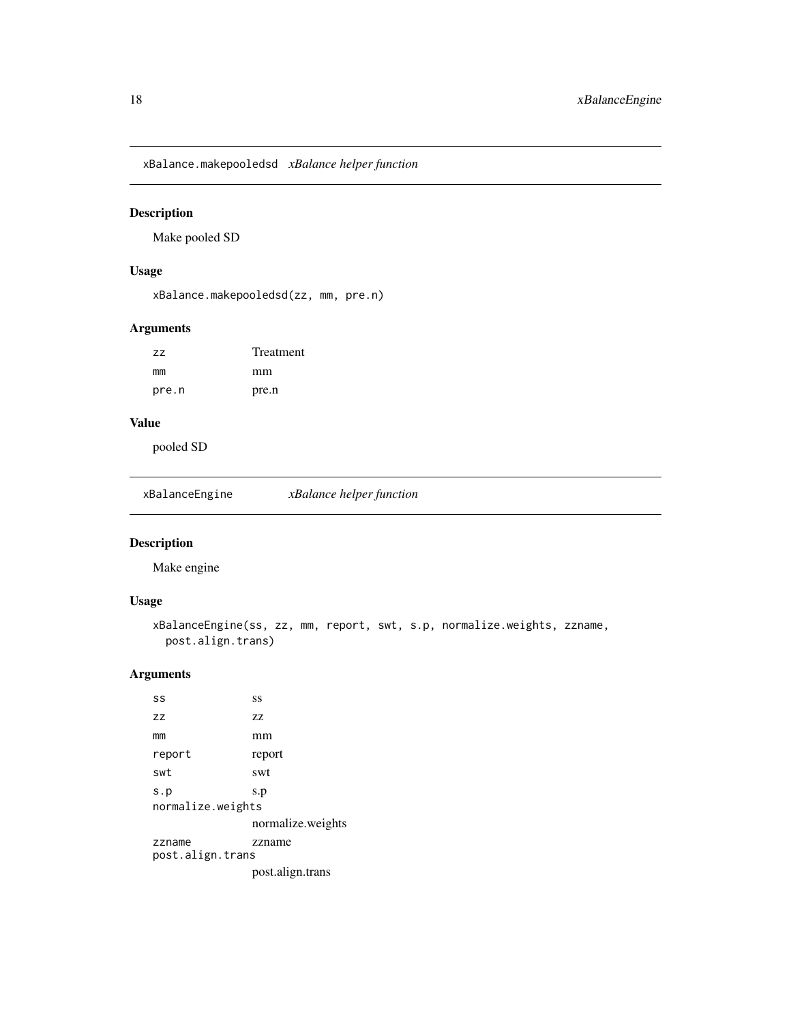<span id="page-17-0"></span>xBalance.makepooledsd *xBalance helper function*

# Description

Make pooled SD

# Usage

xBalance.makepooledsd(zz, mm, pre.n)

# Arguments

| ZZ.   | Treatment |  |
|-------|-----------|--|
| mm    | mm        |  |
| pre.n | pre.n     |  |

# Value

pooled SD

xBalanceEngine *xBalance helper function*

# Description

Make engine

# Usage

```
xBalanceEngine(ss, zz, mm, report, swt, s.p, normalize.weights, zzname,
 post.align.trans)
```
# Arguments

| SS                         | SS                |
|----------------------------|-------------------|
| ZZ                         | 77                |
| mm                         | mm                |
| report                     | report            |
| swt                        | swt               |
| s.p<br>normalize.weights   | s.p               |
|                            | normalize.weights |
| zzname<br>post.align.trans | zzname            |
|                            | post.align.trans  |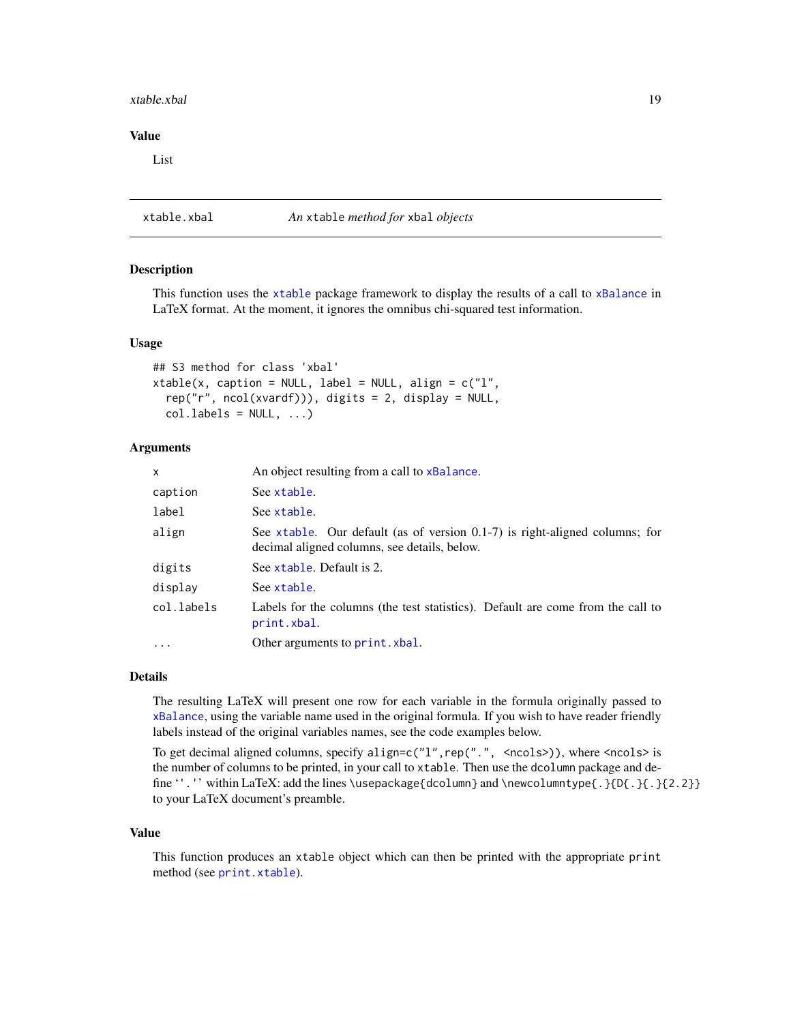#### <span id="page-18-0"></span>xtable.xbal 19

### Value

List

# xtable.xbal *An* xtable *method for* xbal *objects*

# Description

This function uses the [xtable](#page-0-0) package framework to display the results of a call to [xBalance](#page-11-1) in LaTeX format. At the moment, it ignores the omnibus chi-squared test information.

#### Usage

```
## S3 method for class 'xbal'
xtable(x, caption = NULL, label = NULL, align = c("l",rep("r", ncol(xvardf))), digits = 2, display = NULL,
  col.\label{labels} = NULL, \ldots)
```
# Arguments

| $\mathsf{x}$ | An object resulting from a call to xBalance.                                                                                   |
|--------------|--------------------------------------------------------------------------------------------------------------------------------|
| caption      | See xtable.                                                                                                                    |
| label        | See xtable.                                                                                                                    |
| align        | See xtable. Our default (as of version $0.1$ -7) is right-aligned columns; for<br>decimal aligned columns, see details, below. |
| digits       | See xtable. Default is 2.                                                                                                      |
| display      | See xtable.                                                                                                                    |
| col.labels   | Labels for the columns (the test statistics). Default are come from the call to<br>print.xbal.                                 |
| $\cdots$     | Other arguments to print. xbal.                                                                                                |

#### Details

The resulting LaTeX will present one row for each variable in the formula originally passed to [xBalance](#page-11-1), using the variable name used in the original formula. If you wish to have reader friendly labels instead of the original variables names, see the code examples below.

To get decimal aligned columns, specify align=c( $"1"$ , rep(".", <ncols>)), where <ncols> is the number of columns to be printed, in your call to xtable. Then use the dcolumn package and define ''.'' within LaTeX: add the lines \usepackage{dcolumn} and \newcolumntype{.}{D{.}{2.2}} to your LaTeX document's preamble.

# Value

This function produces an xtable object which can then be printed with the appropriate print method (see [print.xtable](#page-0-0)).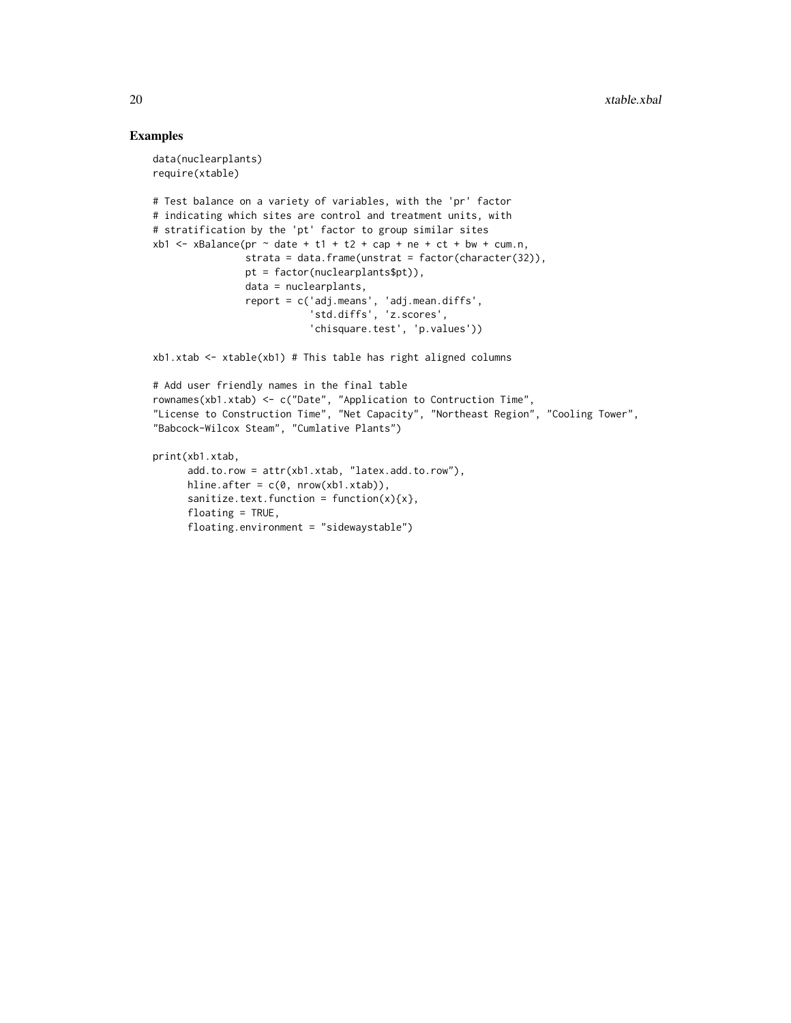# Examples

```
data(nuclearplants)
require(xtable)
# Test balance on a variety of variables, with the 'pr' factor
# indicating which sites are control and treatment units, with
# stratification by the 'pt' factor to group similar sites
xb1 < -xBalance(pr \sim date + t1 + t2 + cap + ne + ct + bw + cum.n,
                strata = data.frame(unstrat = factor(character(32)),
                pt = factor(nuclearplants$pt)),
                data = nuclearplants,
                report = c('adj.means', 'adj.mean.diffs',
                           'std.diffs', 'z.scores',
                           'chisquare.test', 'p.values'))
xb1.xtab <- xtable(xb1) # This table has right aligned columns
# Add user friendly names in the final table
rownames(xb1.xtab) <- c("Date", "Application to Contruction Time",
"License to Construction Time", "Net Capacity", "Northeast Region", "Cooling Tower",
"Babcock-Wilcox Steam", "Cumlative Plants")
print(xb1.xtab,
      add.to.row = attr(xb1.xtab, "latex.add.to.row"),
      hline.after = c(\theta, nrow(xb1.xtab)),
      sanitize.text.function = function(x){x},
      floating = TRUE,
      floating.environment = "sidewaystable")
```